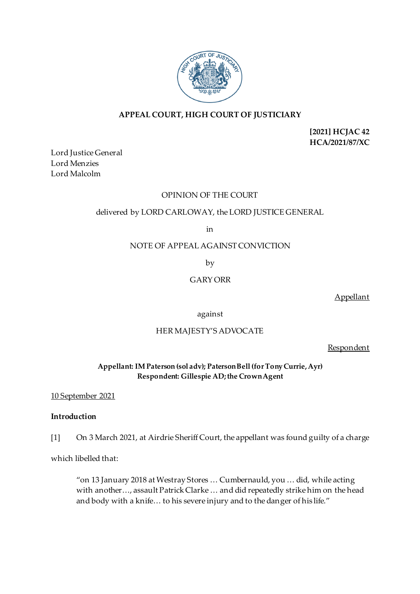

# **APPEAL COURT, HIGH COURT OF JUSTICIARY**

**[2021] HCJAC 42 HCA/2021/87/XC**

Lord Justice General Lord Menzies Lord Malcolm

## OPINION OF THE COURT

# delivered by LORD CARLOWAY, the LORD JUSTICE GENERAL

in

NOTE OF APPEAL AGAINST CONVICTION

by

GARY ORR

Appellant

against

# HER MAJESTY'S ADVOCATE

Respondent

**Appellant: IM Paterson (sol adv); Paterson Bell(for Tony Currie, Ayr) Respondent: Gillespie AD; the Crown Agent**

## 10 September 2021

## **Introduction**

[1] On 3 March 2021, at Airdrie Sheriff Court, the appellant was found guilty of a charge

which libelled that:

"on 13 January 2018 at Westray Stores … Cumbernauld, you … did, while acting with another…, assault Patrick Clarke … and did repeatedly strike him on the head and body with a knife… to his severe injury and to the danger of his life."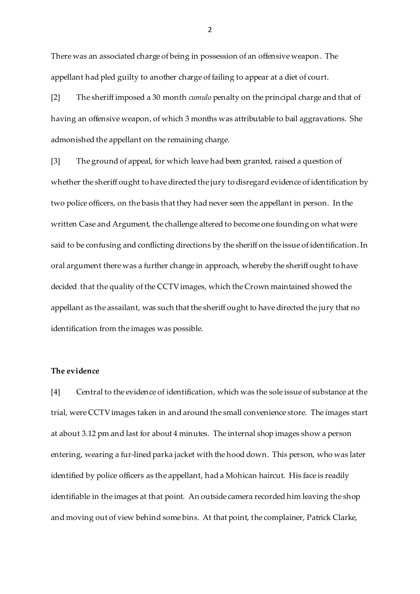There was an associated charge of being in possession of an offensive weapon. The appellant had pled guilty to another charge of failing to appear at a diet of court.

[2] The sheriff imposed a 30 month *cumulo* penalty on the principal charge and that of having an offensive weapon, of which 3 months was attributable to bail aggravations. She admonished the appellant on the remaining charge.

[3] The ground of appeal, for which leave had been granted, raised a question of whether the sheriff ought to have directed the jury to disregard evidence of identification by two police officers, on the basis that they had never seen the appellant in person. In the written Case and Argument, the challenge altered to become one founding on what were said to be confusing and conflicting directions by the sheriff on the issue of identification. In oral argument there was a further change in approach, whereby the sheriff ought to have decided that the quality of the CCTVimages, which the Crown maintained showed the appellant as the assailant, was such that the sheriff ought to have directed the jury that no identification from the images was possible.

#### **The evidence**

[4] Central to the evidence of identification, which was the sole issue of substance at the trial, were CCTVimages taken in and around the small convenience store. The images start at about 3.12 pm and last for about 4 minutes. The internal shop images show a person entering, wearing a fur-lined parka jacket with the hood down. This person, who was later identified by police officers as the appellant, had a Mohican haircut. His face is readily identifiable in the images at that point. An outside camera recorded him leaving the shop and moving out of view behind some bins. At that point, the complainer, Patrick Clarke,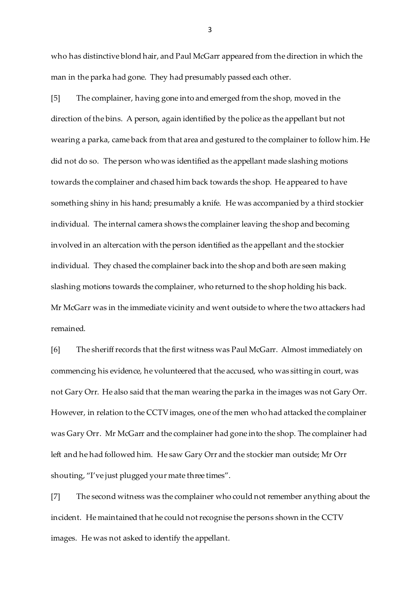who has distinctive blond hair, and Paul McGarr appeared from the direction in which the man in the parka had gone. They had presumably passed each other.

[5] The complainer, having gone into and emerged from the shop, moved in the direction of the bins. A person, again identified by the police as the appellant but not wearing a parka, came back from that area and gestured to the complainer to follow him. He did not do so. The person who was identified as the appellant made slashing motions towards the complainer and chased him back towards the shop. He appeared to have something shiny in his hand; presumably a knife. He was accompanied by a third stockier individual. The internal camera shows the complainer leaving the shop and becoming involved in an altercation with the person identified as the appellant and the stockier individual. They chased the complainer back into the shop and both are seen making slashing motions towards the complainer, who returned to the shop holding his back. Mr McGarr was in the immediate vicinity and went outside to where the two attackers had remained.

[6] The sheriff records that the first witness was Paul McGarr. Almost immediately on commencing his evidence, he volunteered that the accused, who was sitting in court, was not Gary Orr. He also said that the man wearing the parka in the images was not Gary Orr. However, in relation to the CCTVimages, one of the men who had attacked the complainer was Gary Orr. Mr McGarr and the complainer had gone into the shop. The complainer had left and he had followed him. He saw Gary Orr and the stockier man outside; Mr Orr shouting, "I've just plugged your mate three times".

[7] The second witness was the complainer who could not remember anything about the incident. He maintained that he could not recognise the persons shown in the CCTV images. He was not asked to identify the appellant.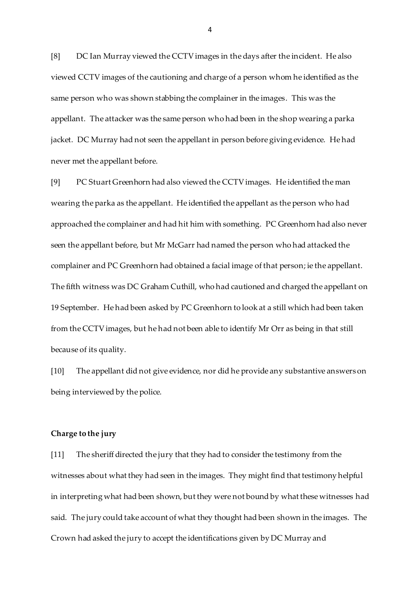[8] DC Ian Murray viewed the CCTVimages in the days after the incident. He also viewed CCTV images of the cautioning and charge of a person whom he identified as the same person who was shown stabbing the complainer in the images. This was the appellant. The attacker was the same person who had been in the shop wearing a parka jacket. DC Murray had not seen the appellant in person before giving evidence. He had never met the appellant before.

[9] PC Stuart Greenhorn had also viewed the CCTVimages. He identified the man wearing the parka as the appellant. He identified the appellant as the person who had approached the complainer and had hit him with something. PC Greenhorn had also never seen the appellant before, but Mr McGarr had named the person who had attacked the complainer and PC Greenhorn had obtained a facial image of that person; ie the appellant. The fifth witness was DC Graham Cuthill, who had cautioned and charged the appellant on 19 September. He had been asked by PC Greenhorn to look at a still which had been taken from the CCTVimages, but he had not been able to identify Mr Orr as being in that still because of its quality.

[10] The appellant did not give evidence, nor did he provide any substantive answers on being interviewed by the police.

#### **Charge to the jury**

[11] The sheriff directed the jury that they had to consider the testimony from the witnesses about what they had seen in the images. They might find that testimony helpful in interpreting what had been shown, but they were not bound by what these witnesses had said. The jury could take account of what they thought had been shown in the images. The Crown had asked the jury to accept the identifications given by DC Murray and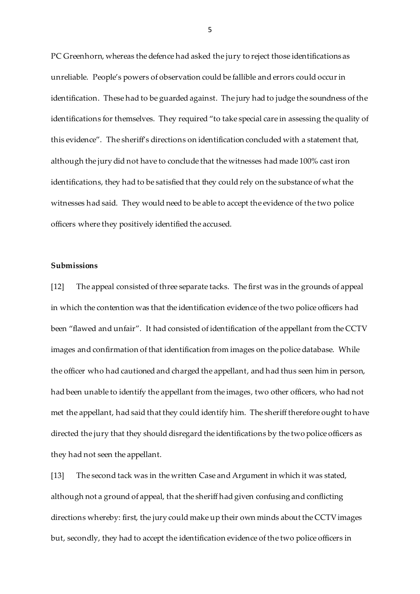PC Greenhorn, whereas the defence had asked the jury to reject those identifications as unreliable. People's powers of observation could be fallible and errors could occur in identification. These had to be guarded against. The jury had to judge the soundness of the identifications for themselves. They required "to take special care in assessing the quality of this evidence". The sheriff's directions on identification concluded with a statement that, although the jury did not have to conclude that the witnesses had made 100% cast iron identifications, they had to be satisfied that they could rely on the substance of what the witnesses had said. They would need to be able to accept the evidence of the two police officers where they positively identified the accused.

#### **Submissions**

[12] The appeal consisted of three separate tacks. The first was in the grounds of appeal in which the contention was that the identification evidence of the two police officers had been "flawed and unfair". It had consisted of identification of the appellant from the CCTV images and confirmation of that identification from images on the police database. While the officer who had cautioned and charged the appellant, and had thus seen him in person, had been unable to identify the appellant from the images, two other officers, who had not met the appellant, had said that they could identify him. The sheriff therefore ought to have directed the jury that they should disregard the identifications by the two police officers as they had not seen the appellant.

[13] The second tack was in the written Case and Argument in which it was stated, although not a ground of appeal, that the sheriff had given confusing and conflicting directions whereby: first, the jury could make up their own minds about the CCTV images but, secondly, they had to accept the identification evidence of the two police officers in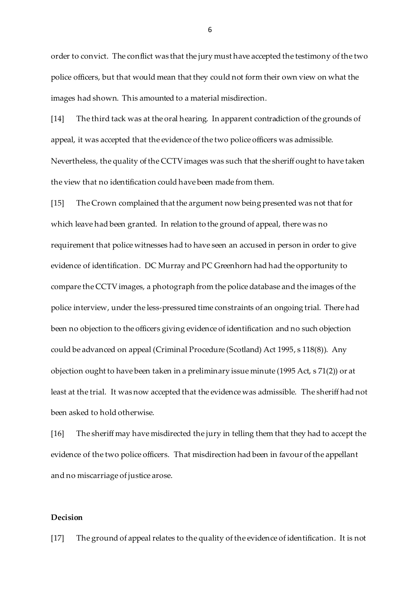order to convict. The conflict was that the jury must have accepted the testimony of the two police officers, but that would mean that they could not form their own view on what the images had shown. This amounted to a material misdirection.

[14] The third tack was at the oral hearing. In apparent contradiction of the grounds of appeal, it was accepted that the evidence of the two police officers was admissible. Nevertheless, the quality of the CCTV images was such that the sheriff ought to have taken the view that no identification could have been made from them.

[15] The Crown complained that the argument now being presented was not that for which leave had been granted. In relation to the ground of appeal, there was no requirement that police witnesses had to have seen an accused in person in order to give evidence of identification. DC Murray and PC Greenhorn had had the opportunity to compare the CCTV images, a photograph from the police database and the images of the police interview, under the less-pressured time constraints of an ongoing trial. There had been no objection to the officers giving evidence of identification and no such objection could be advanced on appeal (Criminal Procedure (Scotland) Act 1995, s 118(8)). Any objection ought to have been taken in a preliminary issue minute (1995 Act, s 71(2)) or at least at the trial. It was now accepted that the evidence was admissible. The sheriff had not been asked to hold otherwise.

[16] The sheriff may have misdirected the jury in telling them that they had to accept the evidence of the two police officers. That misdirection had been in favour of the appellant and no miscarriage of justice arose.

#### **Decision**

[17] The ground of appeal relates to the quality of the evidence of identification. It is not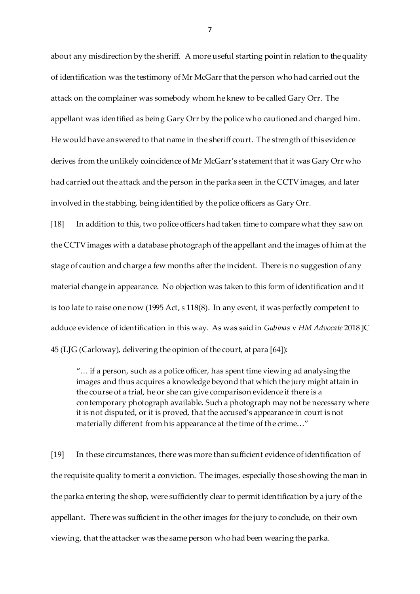about any misdirection by the sheriff. A more useful starting point in relation to the quality of identification was the testimony of Mr McGarr that the person who had carried out the attack on the complainer was somebody whom he knew to be called Gary Orr. The appellant was identified as being Gary Orr by the police who cautioned and charged him. He would have answered to that name in the sheriff court. The strength of this evidence derives from the unlikely coincidence of Mr McGarr's statement that it was Gary Orr who had carried out the attack and the person in the parka seen in the CCTV images, and later involved in the stabbing, being identified by the police officers as Gary Orr.

[18] In addition to this, two police officers had taken time to compare what they saw on the CCTV images with a database photograph of the appellant and the images of him at the stage of caution and charge a few months after the incident. There is no suggestion of any material change in appearance. No objection was taken to this form of identification and it is too late to raise one now (1995 Act, s 118(8). In any event, it was perfectly competent to adduce evidence of identification in this way. As was said in *Gubinas* v *HM Advocate* 2018 JC 45 (LJG (Carloway), delivering the opinion of the court, at para [64]):

"… if a person, such as a police officer, has spent time viewing ad analysing the images and thus acquires a knowledge beyond that which the jury might attain in the course of a trial, he or she can give comparison evidence if there is a contemporary photograph available. Such a photograph may not be necessary where it is not disputed, or it is proved, that the accused's appearance in court is not materially different from his appearance at the time of the crime..."

[19] In these circumstances, there was more than sufficient evidence of identification of the requisite quality to merit a conviction. The images, especially those showing the man in the parka entering the shop, were sufficiently clear to permit identification by a jury of the appellant. There was sufficient in the other images for the jury to conclude, on their own viewing, that the attacker was the same person who had been wearing the parka.